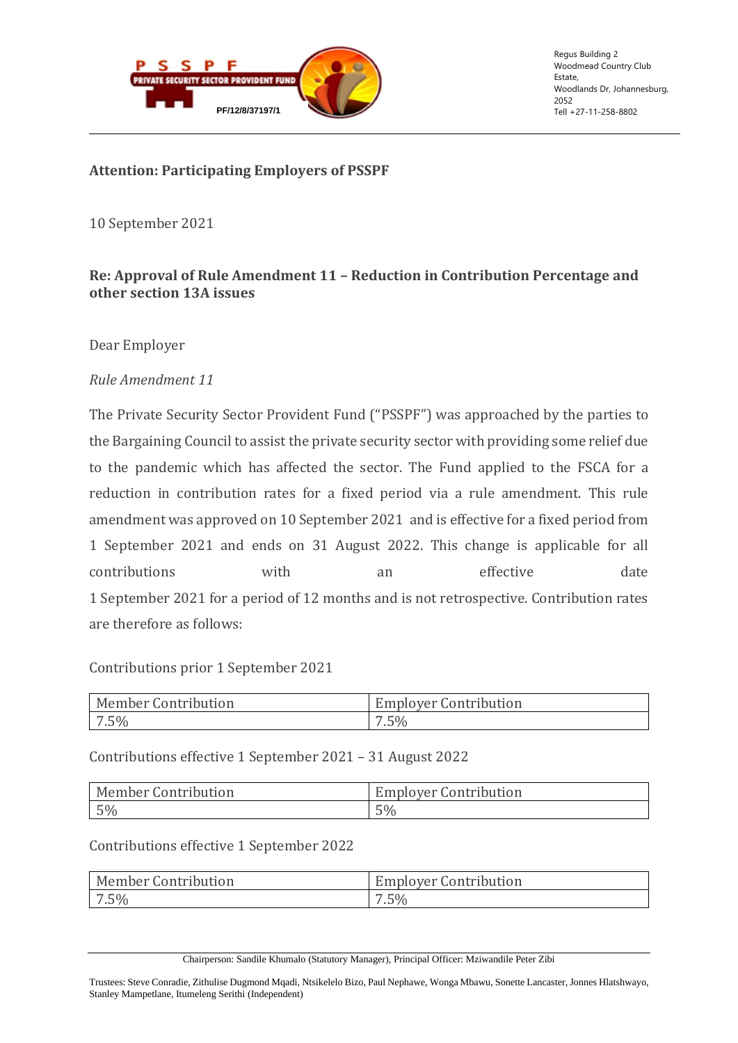

Regus Building 2 Woodmead Country Club Estate, Woodlands Dr, Johannesburg, 2052

### **Attention: Participating Employers of PSSPF**

10 September 2021

# **Re: Approval of Rule Amendment 11 – Reduction in Contribution Percentage and other section 13A issues**

Dear Employer

### *Rule Amendment 11*

The Private Security Sector Provident Fund ("PSSPF") was approached by the parties to the Bargaining Council to assist the private security sector with providing some relief due to the pandemic which has affected the sector. The Fund applied to the FSCA for a reduction in contribution rates for a fixed period via a rule amendment. This rule amendment was approved on 10 September 2021 and is effective for a fixed period from 1 September 2021 and ends on 31 August 2022. This change is applicable for all contributions with an effective date 1 September 2021 for a period of 12 months and is not retrospective. Contribution rates are therefore as follows:

#### Contributions prior 1 September 2021

| Member Contribution | <b>Employer Contribution</b> |
|---------------------|------------------------------|
| $7.5\%$             | $.5\%$                       |

Contributions effective 1 September 2021 – 31 August 2022

| <b>Member Contribution</b> | <b>Employer Contribution</b> |
|----------------------------|------------------------------|
| $5\%$                      | 5%                           |

# Contributions effective 1 September 2022

| Member Contribution | <b>Employer Contribution</b> |
|---------------------|------------------------------|
| $7.5\%$             | $7.5\%$                      |

Chairperson: Sandile Khumalo (Statutory Manager), Principal Officer: Mziwandile Peter Zibi

Trustees: Steve Conradie, Zithulise Dugmond Mqadi, Ntsikelelo Bizo, Paul Nephawe, Wonga Mbawu, Sonette Lancaster, Jonnes Hlatshwayo, Stanley Mampetlane, Itumeleng Serithi (Independent)